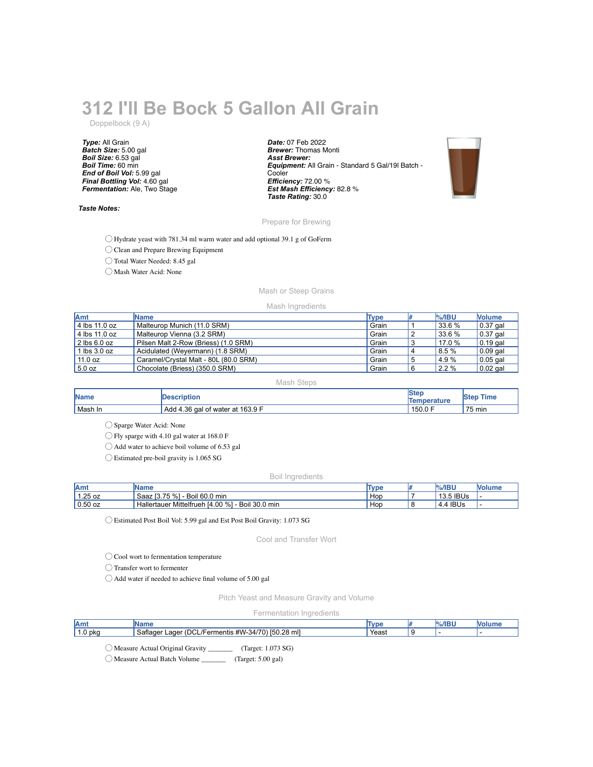# **312 I'll Be Bock 5 Gallon All Grain**

Doppelbock (9 A)

*Type:* All Grain *Batch Size:* 5.00 gal *Boil Size:* 6.53 gal *Boil Time:* 60 min *End of Boil Vol:* 5.99 gal *Final Bottling Vol:* 4.60 gal *Fermentation:* Ale, Two Stage

#### *Taste Notes:*

*Date:* 07 Feb 2022 *Brewer:* Thomas Monti *Asst Brewer: Equipment:* All Grain - Standard 5 Gal/19l Batch - **Cooler** *Efficiency:* 72.00 % *Est Mash Efficiency:* 82.8 % *Taste Rating:* 30.0



## Prepare for Brewing

◯ Hydrate yeast with 781.34 ml warm water and add optional 39.1 g of GoFerm

◯ Clean and Prepare Brewing Equipment

◯ Total Water Needed: 8.45 gal

◯ Mash Water Acid: None

# Mash or Steep Grains

#### Mash Ingredients

| <b>Amt</b>      | <b>Name</b>                           | Type  |     | $%$ /IBU | <b>Nolume</b>    |
|-----------------|---------------------------------------|-------|-----|----------|------------------|
| $4$ lbs 11.0 oz | Malteurop Munich (11.0 SRM)           | Grain |     | 33.6 %   | $\vert$ 0.37 gal |
| $4$ lbs 11.0 oz | Malteurop Vienna (3.2 SRM)            | Grain |     | 33.6 %   | $\vert$ 0.37 gal |
| $2$ lbs 6.0 oz  | Pilsen Malt 2-Row (Briess) (1.0 SRM)  | Grain | - 0 | 17.0 %   | $\vert$ 0.19 gal |
| $11$ lbs 3.0 oz | Acidulated (Weyermann) (1.8 SRM)      | Grain | 4   | 8.5 %    | $\vert$ 0.09 gal |
| 11.0 oz         | Caramel/Crystal Malt - 80L (80.0 SRM) | Grain | 5   | 4.9%     | $0.05$ gal       |
| 15.0 oz         | Chocolate (Briess) (350.0 SRM)        | Grain |     | 2.2 %    | $0.02$ gal       |

## Mash Steps

| <b>Name</b> | <b>IDescription</b>              | ISter<br>Temperature | <b>Step</b><br>Time |
|-------------|----------------------------------|----------------------|---------------------|
| Mash In     | Add 4.36 gal of water at 163.9 F | 150.0 F              | 75 min              |

◯ Sparge Water Acid: None

◯ Fly sparge with 4.10 gal water at 168.0 F

◯ Add water to achieve boil volume of 6.53 gal

◯ Estimated pre-boil gravity is 1.065 SG

Boil Ingredients

| Amt       | <b>Name</b>                                       | <b>Type</b> | $%$ /IBU   | <b>Nolume</b> |
|-----------|---------------------------------------------------|-------------|------------|---------------|
| 1.25 oz   | Saaz [3.75 %]<br>Boil 60.0 min                    | Hop         | 13.5 IBUs  |               |
| $0.50$ oz | Hallertauer Mittelfrueh [4.00 %]<br>Boil 30.0 min | Hop         | $4.4$ IBUs |               |

◯ Estimated Post Boil Vol: 5.99 gal and Est Post Boil Gravity: 1.073 SG

Cool and Transfer Wort

◯ Cool wort to fermentation temperature

◯ Transfer wort to fermenter

◯ Add water if needed to achieve final volume of 5.00 gal

Pitch Yeast and Measure Gravity and Volume

## Fermentation Ingredients

| Amt   | ımc                                                                                                              | $\n  Im\n$<br>/ De | $%$ /IBI |  |
|-------|------------------------------------------------------------------------------------------------------------------|--------------------|----------|--|
| 0 pka | mll<br>1.28<br><b>ILL 6</b><br>∸′DC∟<br>. Saflaor i<br>----<br>aae<br>mentis<br>۰з. д.<br>/⊢orn<br>150<br>. #VV⊹ | Yeast              |          |  |

◯ Measure Actual Original Gravity \_\_\_\_\_\_\_ (Target: 1.073 SG)

◯ Measure Actual Batch Volume \_\_\_\_\_\_\_ (Target: 5.00 gal)